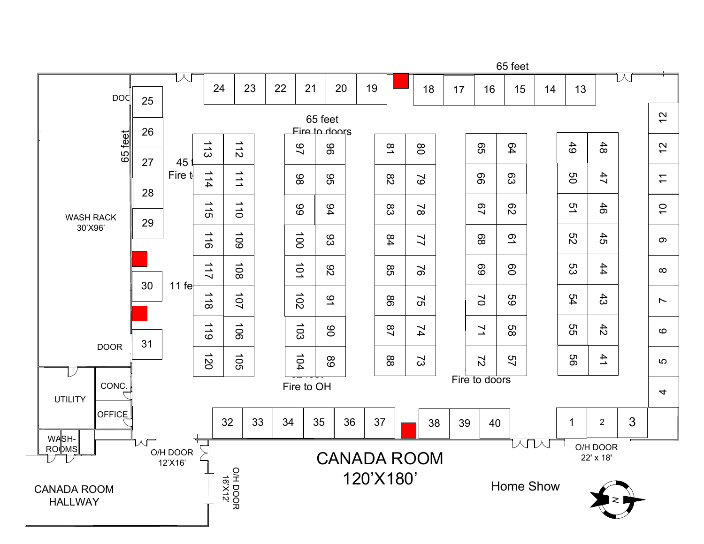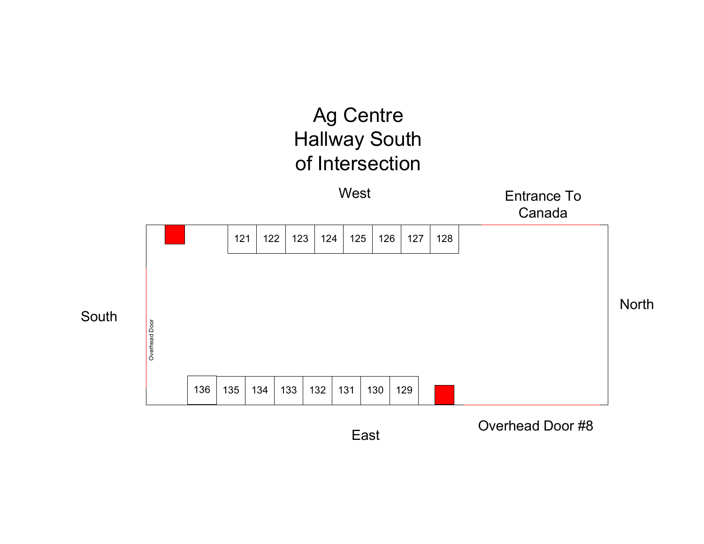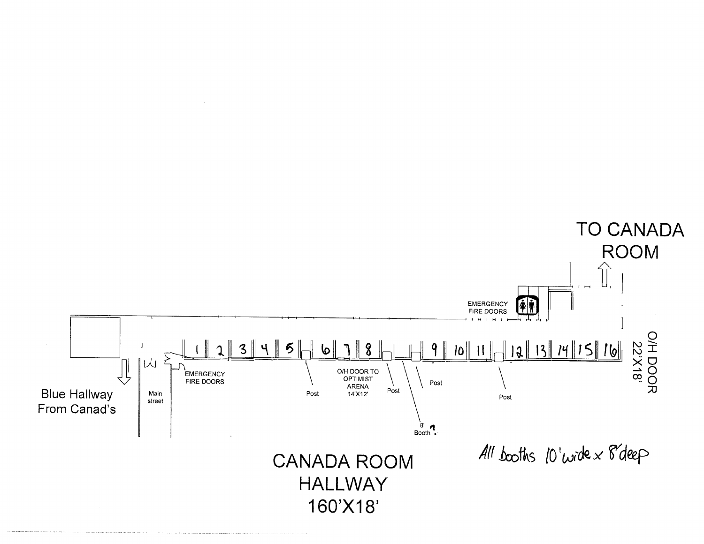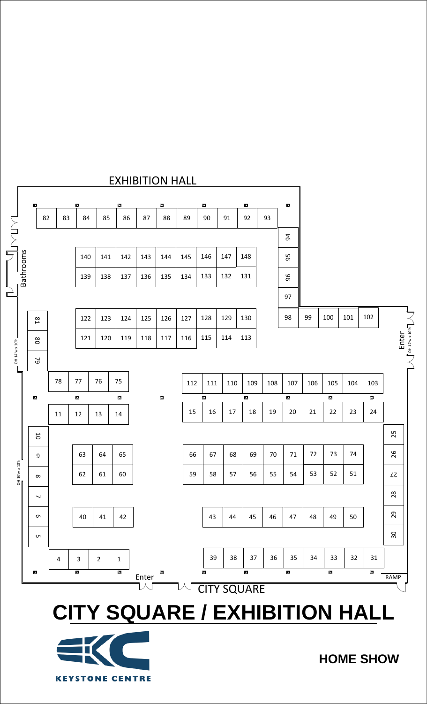

**HOME SHOW**

### **CITY SQUARE / EXHIBITION HALL**



#### EXHIBITION HALL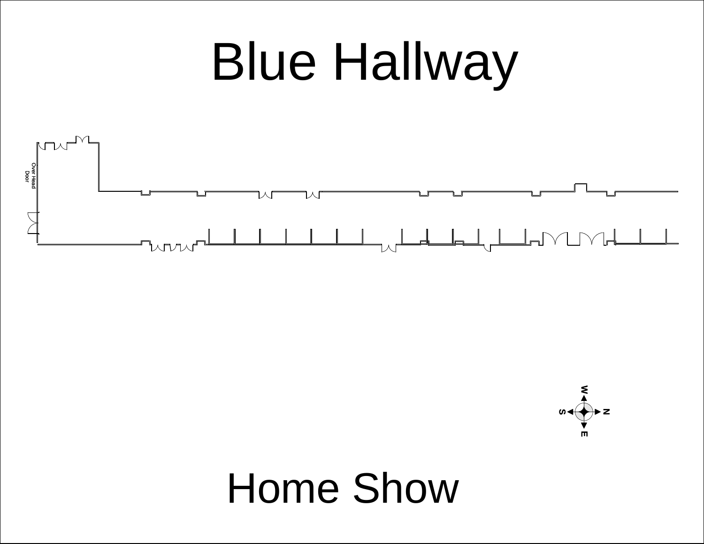# Blue Hallway





## Home Show